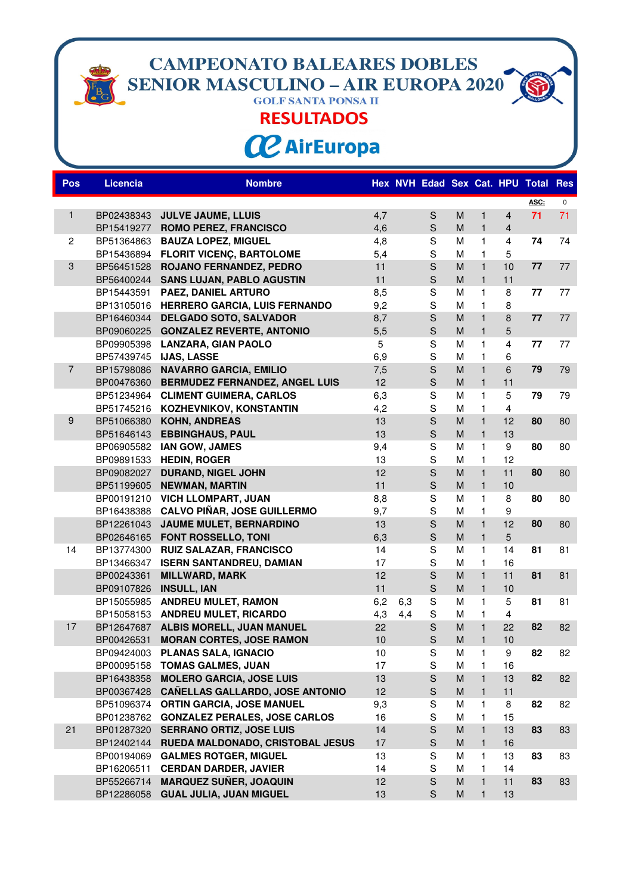**CAMPEONATO BALEARES DOBLES<br>SENIOR MASCULINO – AIR EUROPA 2020** 

## **RESULTADOS**

**CC** AirEuropa

| <b>Pos</b>     | <b>Licencia</b> | <b>Nombre</b>                                                       |      |     |                                                                                                                                                                                                                                                                                                                                                                                                                                                          |                                                                                                            |                   |                         | Hex NVH Edad Sex Cat. HPU Total | <b>Res</b> |
|----------------|-----------------|---------------------------------------------------------------------|------|-----|----------------------------------------------------------------------------------------------------------------------------------------------------------------------------------------------------------------------------------------------------------------------------------------------------------------------------------------------------------------------------------------------------------------------------------------------------------|------------------------------------------------------------------------------------------------------------|-------------------|-------------------------|---------------------------------|------------|
|                |                 |                                                                     |      |     |                                                                                                                                                                                                                                                                                                                                                                                                                                                          |                                                                                                            |                   |                         | ASC:                            | 0          |
| 1              | BP02438343      | <b>JULVE JAUME, LLUIS</b>                                           | 4,7  |     | $\mathbf S$                                                                                                                                                                                                                                                                                                                                                                                                                                              | M                                                                                                          | $\mathbf{1}$      | $\overline{4}$          | 71                              | 71         |
|                |                 | BP15419277 ROMO PEREZ, FRANCISCO                                    | 4,6  |     | $\mathsf{S}% _{T}=\mathsf{S}_{T}\!\left( a,b\right) ,\ \mathsf{S}_{T}=\mathsf{S}_{T}\!\left( a,b\right) ,\ \mathsf{S}_{T}=\mathsf{S}_{T}\!\left( a,b\right) ,\ \mathsf{S}_{T}=\mathsf{S}_{T}\!\left( a,b\right) ,\ \mathsf{S}_{T}=\mathsf{S}_{T}\!\left( a,b\right) ,\ \mathsf{S}_{T}=\mathsf{S}_{T}\!\left( a,b\right) ,\ \mathsf{S}_{T}=\mathsf{S}_{T}\!\left( a,b\right) ,\ \mathsf{S}_{T}=\mathsf{S}_{T}\!\left( a,b\right) ,\ \mathsf{S}_{T}=\math$ | M                                                                                                          | $\mathbf{1}$      | $\overline{4}$          |                                 |            |
| $\mathbf{2}$   |                 | BP51364863 BAUZA LOPEZ, MIGUEL                                      | 4,8  |     | S                                                                                                                                                                                                                                                                                                                                                                                                                                                        | M                                                                                                          | $\mathbf{1}$      | 4                       | 74                              | 74         |
|                |                 | BP15436894 FLORIT VICENC, BARTOLOME                                 | 5,4  |     | $\mathbf S$                                                                                                                                                                                                                                                                                                                                                                                                                                              | M                                                                                                          | $\mathbf{1}$      | 5                       |                                 |            |
| 3              |                 | BP56451528 ROJANO FERNANDEZ, PEDRO                                  | 11   |     | S                                                                                                                                                                                                                                                                                                                                                                                                                                                        | M                                                                                                          | $\mathbf{1}$      | 10                      | 77                              | 77         |
|                | BP56400244      | <b>SANS LUJAN, PABLO AGUSTIN</b>                                    | 11   |     | S                                                                                                                                                                                                                                                                                                                                                                                                                                                        | M                                                                                                          | $\mathbf{1}$      | 11                      |                                 |            |
|                | BP15443591      | PAEZ, DANIEL ARTURO                                                 | 8,5  |     | S                                                                                                                                                                                                                                                                                                                                                                                                                                                        | M                                                                                                          | $\mathbf{1}$      | 8                       | 77                              | 77         |
|                |                 | BP13105016 HERRERO GARCIA, LUIS FERNANDO                            | 9,2  |     | S                                                                                                                                                                                                                                                                                                                                                                                                                                                        | M                                                                                                          | $\mathbf{1}$      | 8                       |                                 |            |
|                | BP16460344      | <b>DELGADO SOTO, SALVADOR</b>                                       | 8,7  |     | $\mathsf S$                                                                                                                                                                                                                                                                                                                                                                                                                                              | M                                                                                                          | $\mathbf{1}$      | 8                       | 77                              | 77         |
|                | BP09060225      | <b>GONZALEZ REVERTE, ANTONIO</b>                                    | 5,5  |     | $\mathsf{S}% _{T}=\mathsf{S}_{T}\!\left( a,b\right) ,\ \mathsf{S}_{T}=\mathsf{S}_{T}\!\left( a,b\right) ,\ \mathsf{S}_{T}=\mathsf{S}_{T}\!\left( a,b\right) ,\ \mathsf{S}_{T}=\mathsf{S}_{T}\!\left( a,b\right) ,\ \mathsf{S}_{T}=\mathsf{S}_{T}\!\left( a,b\right) ,\ \mathsf{S}_{T}=\mathsf{S}_{T}\!\left( a,b\right) ,\ \mathsf{S}_{T}=\mathsf{S}_{T}\!\left( a,b\right) ,\ \mathsf{S}_{T}=\mathsf{S}_{T}\!\left( a,b\right) ,\ \mathsf{S}_{T}=\math$ | M                                                                                                          | $\mathbf{1}$      | 5                       |                                 |            |
|                | BP09905398      | <b>LANZARA, GIAN PAOLO</b>                                          | 5    |     | $\mathbf S$                                                                                                                                                                                                                                                                                                                                                                                                                                              | M                                                                                                          | $\mathbf{1}$      | $\overline{4}$          | 77                              | 77         |
|                |                 | BP57439745 IJAS, LASSE                                              | 6,9  |     | S                                                                                                                                                                                                                                                                                                                                                                                                                                                        | M                                                                                                          | $\mathbf{1}$      | 6                       |                                 |            |
| $\overline{7}$ | BP15798086      | <b>NAVARRO GARCIA, EMILIO</b>                                       | 7,5  |     | $\mathsf S$                                                                                                                                                                                                                                                                                                                                                                                                                                              | M                                                                                                          | $\mathbf{1}$      | 6                       | 79                              | 79         |
|                |                 | BP00476360 BERMUDEZ FERNANDEZ, ANGEL LUIS                           | 12   |     | $\mathsf{S}% _{T}=\mathsf{S}_{T}\!\left( a,b\right) ,\ \mathsf{S}_{T}=\mathsf{S}_{T}\!\left( a,b\right) ,\ \mathsf{S}_{T}=\mathsf{S}_{T}\!\left( a,b\right) ,\ \mathsf{S}_{T}=\mathsf{S}_{T}\!\left( a,b\right) ,\ \mathsf{S}_{T}=\mathsf{S}_{T}\!\left( a,b\right) ,\ \mathsf{S}_{T}=\mathsf{S}_{T}\!\left( a,b\right) ,\ \mathsf{S}_{T}=\mathsf{S}_{T}\!\left( a,b\right) ,\ \mathsf{S}_{T}=\mathsf{S}_{T}\!\left( a,b\right) ,\ \mathsf{S}_{T}=\math$ | M                                                                                                          | $\mathbf{1}$      | 11                      |                                 |            |
|                | BP51234964      | <b>CLIMENT GUIMERA, CARLOS</b>                                      | 6,3  |     | S                                                                                                                                                                                                                                                                                                                                                                                                                                                        | M                                                                                                          | $\mathbf{1}$      | 5                       | 79                              | 79         |
|                |                 | BP51745216 KOZHEVNIKOV, KONSTANTIN                                  | 4,2  |     | S                                                                                                                                                                                                                                                                                                                                                                                                                                                        | M                                                                                                          | $\mathbf{1}$      | $\overline{\mathbf{4}}$ |                                 |            |
| 9              | BP51066380      | <b>KOHN, ANDREAS</b>                                                | 13   |     | S                                                                                                                                                                                                                                                                                                                                                                                                                                                        | M                                                                                                          | $\mathbf{1}$      | 12                      | 80                              | 80         |
|                | BP51646143      | <b>EBBINGHAUS, PAUL</b>                                             | 13   |     | $\mathsf{S}% _{T}=\mathsf{S}_{T}\!\left( a,b\right) ,\ \mathsf{S}_{T}=\mathsf{S}_{T}\!\left( a,b\right) ,\ \mathsf{S}_{T}=\mathsf{S}_{T}\!\left( a,b\right) ,\ \mathsf{S}_{T}=\mathsf{S}_{T}\!\left( a,b\right) ,\ \mathsf{S}_{T}=\mathsf{S}_{T}\!\left( a,b\right) ,\ \mathsf{S}_{T}=\mathsf{S}_{T}\!\left( a,b\right) ,\ \mathsf{S}_{T}=\mathsf{S}_{T}\!\left( a,b\right) ,\ \mathsf{S}_{T}=\mathsf{S}_{T}\!\left( a,b\right) ,\ \mathsf{S}_{T}=\math$ | M                                                                                                          | $\mathbf{1}$      | 13                      |                                 |            |
|                | BP06905582      | <b>IAN GOW, JAMES</b>                                               | 9,4  |     | S                                                                                                                                                                                                                                                                                                                                                                                                                                                        | M                                                                                                          | $\mathbf{1}$      | 9                       | 80                              | 80         |
|                | BP09891533      | <b>HEDIN, ROGER</b>                                                 | 13   |     | S                                                                                                                                                                                                                                                                                                                                                                                                                                                        | M                                                                                                          | $\mathbf{1}$      | 12                      |                                 |            |
|                | BP09082027      | <b>DURAND, NIGEL JOHN</b>                                           | 12   |     | $\mathsf{s}$                                                                                                                                                                                                                                                                                                                                                                                                                                             | M                                                                                                          | $\mathbf{1}$      | 11                      | 80                              | 80         |
|                | BP51199605      | <b>NEWMAN, MARTIN</b>                                               | 11   |     | $\mathsf{S}% _{T}=\mathsf{S}_{T}\!\left( a,b\right) ,\ \mathsf{S}_{T}=\mathsf{S}_{T}\!\left( a,b\right) ,\ \mathsf{S}_{T}=\mathsf{S}_{T}\!\left( a,b\right) ,\ \mathsf{S}_{T}=\mathsf{S}_{T}\!\left( a,b\right) ,\ \mathsf{S}_{T}=\mathsf{S}_{T}\!\left( a,b\right) ,\ \mathsf{S}_{T}=\mathsf{S}_{T}\!\left( a,b\right) ,\ \mathsf{S}_{T}=\mathsf{S}_{T}\!\left( a,b\right) ,\ \mathsf{S}_{T}=\mathsf{S}_{T}\!\left( a,b\right) ,\ \mathsf{S}_{T}=\math$ | M                                                                                                          | $\mathbf{1}$      | 10                      |                                 |            |
|                | BP00191210      | <b>VICH LLOMPART, JUAN</b>                                          | 8,8  |     | $\mathbf S$                                                                                                                                                                                                                                                                                                                                                                                                                                              | M                                                                                                          | $\mathbf{1}$      | 8                       | 80                              | 80         |
|                | BP16438388      | <b>CALVO PIÑAR, JOSE GUILLERMO</b>                                  | 9,7  |     | S                                                                                                                                                                                                                                                                                                                                                                                                                                                        | M                                                                                                          | 1                 | $\boldsymbol{9}$        |                                 |            |
|                | BP12261043      | JAUME MULET, BERNARDINO                                             | 13   |     | S                                                                                                                                                                                                                                                                                                                                                                                                                                                        | M                                                                                                          | $\mathbf{1}$      | 12                      | 80                              | 80         |
|                | BP02646165      | FONT ROSSELLO, TONI                                                 | 6,3  |     | $\mathsf S$                                                                                                                                                                                                                                                                                                                                                                                                                                              | M                                                                                                          | $\mathbf{1}$      | 5                       |                                 |            |
| 14             | BP13774300      | <b>RUIZ SALAZAR, FRANCISCO</b>                                      | 14   |     | $\mathbf S$                                                                                                                                                                                                                                                                                                                                                                                                                                              | M                                                                                                          | 1                 | 14                      | 81                              | 81         |
|                | BP13466347      | <b>ISERN SANTANDREU, DAMIAN</b>                                     | 17   |     | S                                                                                                                                                                                                                                                                                                                                                                                                                                                        | M                                                                                                          | 1                 | 16                      |                                 |            |
|                | BP00243361      | <b>MILLWARD, MARK</b>                                               | 12   |     | S                                                                                                                                                                                                                                                                                                                                                                                                                                                        | M                                                                                                          | $\mathbf{1}$      | 11                      | 81                              | 81         |
|                | BP09107826      | <b>INSULL, IAN</b>                                                  | 11   |     | $\mathsf S$                                                                                                                                                                                                                                                                                                                                                                                                                                              | M                                                                                                          | $\mathbf{1}$      | 10                      |                                 |            |
|                | BP15055985      | <b>ANDREU MULET, RAMON</b>                                          | 6,2  | 6,3 | S                                                                                                                                                                                                                                                                                                                                                                                                                                                        | M                                                                                                          | $\mathbf{1}$      | 5                       | 81                              | 81         |
|                | BP15058153      | <b>ANDREU MULET, RICARDO</b>                                        | 4,3  | 4,4 | $\mathbf S$                                                                                                                                                                                                                                                                                                                                                                                                                                              | M                                                                                                          | 1                 | 4                       |                                 |            |
| 17             | BP12647687      | ALBIS MORELL, JUAN MANUEL                                           | 22   |     | S                                                                                                                                                                                                                                                                                                                                                                                                                                                        | M                                                                                                          | $\mathbf{1}$      | 22                      | 82                              | 82         |
|                | BP00426531      | <b>MORAN CORTES, JOSE RAMON</b>                                     | 10   |     | $\mathsf S$                                                                                                                                                                                                                                                                                                                                                                                                                                              | M                                                                                                          | $\mathbf{1}$      | 10                      |                                 |            |
|                | BP09424003      | <b>PLANAS SALA, IGNACIO</b>                                         | $10$ |     | S                                                                                                                                                                                                                                                                                                                                                                                                                                                        | M                                                                                                          | 1                 | 9                       | 82                              | 82         |
|                |                 | BP00095158 TOMAS GALMES, JUAN                                       | 17   |     | S                                                                                                                                                                                                                                                                                                                                                                                                                                                        | М                                                                                                          | 1                 | 16                      |                                 |            |
|                | BP16438358      | <b>MOLERO GARCIA, JOSE LUIS</b>                                     | 13   |     | $\mathsf S$                                                                                                                                                                                                                                                                                                                                                                                                                                              | M                                                                                                          | $\mathbf{1}$      | 13                      | 82                              | 82         |
|                |                 | BP00367428 CAÑELLAS GALLARDO, JOSE ANTONIO                          | 12   |     | $\mathbf S$                                                                                                                                                                                                                                                                                                                                                                                                                                              | M                                                                                                          | $\mathbf{1}$      | 11                      |                                 |            |
|                |                 | BP51096374 ORTIN GARCIA, JOSE MANUEL                                | 9,3  |     | S                                                                                                                                                                                                                                                                                                                                                                                                                                                        | M                                                                                                          | 1                 | 8                       | 82                              | 82         |
|                |                 | BP01238762 GONZALEZ PERALES, JOSE CARLOS                            | 16   |     | $\mathbf S$                                                                                                                                                                                                                                                                                                                                                                                                                                              | M                                                                                                          | 1                 | 15                      |                                 |            |
| 21             |                 | BP01287320 SERRANO ORTIZ, JOSE LUIS                                 | 14   |     | $\mathsf{S}% _{T}=\mathsf{S}_{T}\!\left( a,b\right) ,\ \mathsf{S}_{T}=\mathsf{S}_{T}\!\left( a,b\right) ,\ \mathsf{S}_{T}=\mathsf{S}_{T}\!\left( a,b\right) ,\ \mathsf{S}_{T}=\mathsf{S}_{T}\!\left( a,b\right) ,\ \mathsf{S}_{T}=\mathsf{S}_{T}\!\left( a,b\right) ,\ \mathsf{S}_{T}=\mathsf{S}_{T}\!\left( a,b\right) ,\ \mathsf{S}_{T}=\mathsf{S}_{T}\!\left( a,b\right) ,\ \mathsf{S}_{T}=\mathsf{S}_{T}\!\left( a,b\right) ,\ \mathsf{S}_{T}=\math$ | M                                                                                                          | $\mathbf{1}$      | 13                      | 83                              | 83         |
|                |                 | BP12402144 RUEDA MALDONADO, CRISTOBAL JESUS                         | 17   |     | $\mathbf S$                                                                                                                                                                                                                                                                                                                                                                                                                                              | M                                                                                                          | $\mathbf{1}$      | 16                      |                                 |            |
|                |                 | BP00194069 GALMES ROTGER, MIGUEL                                    | 13   |     | S<br>$\mathbf S$                                                                                                                                                                                                                                                                                                                                                                                                                                         | M                                                                                                          | 1                 | 13                      | 83                              | 83         |
|                |                 | BP16206511 CERDAN DARDER, JAVIER                                    | 14   |     | $\mathsf{S}% _{T}=\mathsf{S}_{T}\!\left( a,b\right) ,\ \mathsf{S}_{T}=\mathsf{S}_{T}\!\left( a,b\right) ,\ \mathsf{S}_{T}=\mathsf{S}_{T}\!\left( a,b\right) ,\ \mathsf{S}_{T}=\mathsf{S}_{T}\!\left( a,b\right) ,\ \mathsf{S}_{T}=\mathsf{S}_{T}\!\left( a,b\right) ,\ \mathsf{S}_{T}=\mathsf{S}_{T}\!\left( a,b\right) ,\ \mathsf{S}_{T}=\mathsf{S}_{T}\!\left( a,b\right) ,\ \mathsf{S}_{T}=\mathsf{S}_{T}\!\left( a,b\right) ,\ \mathsf{S}_{T}=\math$ | M<br>M                                                                                                     | 1<br>$\mathbf{1}$ | 14                      | 83                              |            |
|                | BP55266714      | <b>MARQUEZ SUÑER, JOAQUIN</b><br>BP12286058 GUAL JULIA, JUAN MIGUEL | 12   |     |                                                                                                                                                                                                                                                                                                                                                                                                                                                          |                                                                                                            |                   | 11                      |                                 | 83         |
|                |                 |                                                                     | 13   |     | $\mathbf S$                                                                                                                                                                                                                                                                                                                                                                                                                                              | $\mathsf{M}% _{T}=\mathsf{M}_{T}\!\left( a,b\right) ,\ \mathsf{M}_{T}=\mathsf{M}_{T}\!\left( a,b\right) ,$ | $\mathbf{1}$      | 13                      |                                 |            |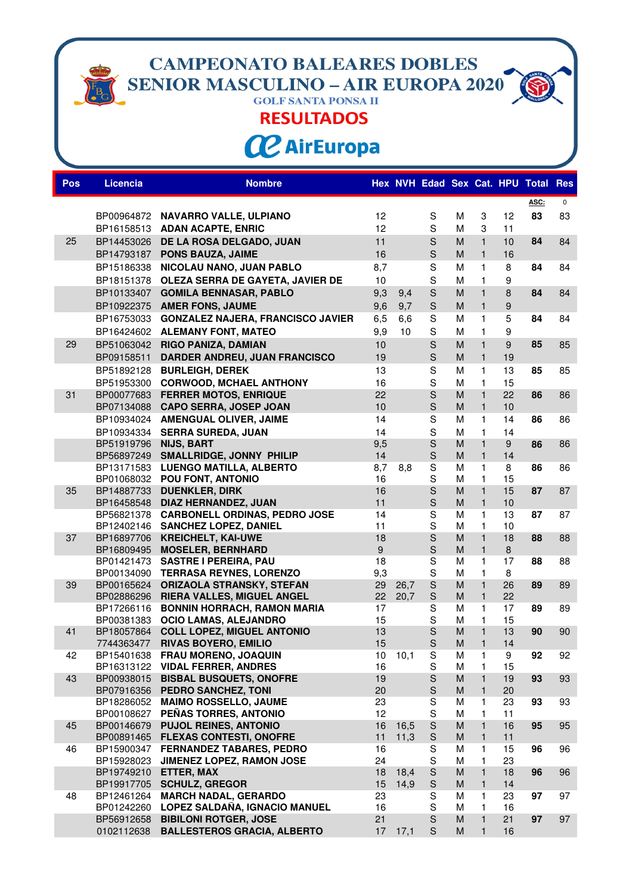**CAMPEONATO BALEARES DOBLES<br>SENIOR MASCULINO – AIR EUROPA 2020** 

**RESULTADOS** 

**CC** AirEuropa

| <b>Pos</b> | <b>Licencia</b>       | <b>Nombre</b>                                             |          |           |                                                                                                                                                                                                                                                                                                                                                                                                                                                          |        |                   |                  | Hex NVH Edad Sex Cat. HPU Total | <b>Res</b>  |
|------------|-----------------------|-----------------------------------------------------------|----------|-----------|----------------------------------------------------------------------------------------------------------------------------------------------------------------------------------------------------------------------------------------------------------------------------------------------------------------------------------------------------------------------------------------------------------------------------------------------------------|--------|-------------------|------------------|---------------------------------|-------------|
|            |                       |                                                           |          |           |                                                                                                                                                                                                                                                                                                                                                                                                                                                          |        |                   |                  | ASC:                            | $\mathbf 0$ |
|            |                       | BP00964872 NAVARRO VALLE, ULPIANO                         | 12       |           | S                                                                                                                                                                                                                                                                                                                                                                                                                                                        | М      | 3                 | 12               | 83                              | 83          |
|            |                       | BP16158513 ADAN ACAPTE, ENRIC                             | 12       |           | S                                                                                                                                                                                                                                                                                                                                                                                                                                                        | M      | 3                 | 11               |                                 |             |
| 25         |                       |                                                           | 11       |           | $\mathsf S$                                                                                                                                                                                                                                                                                                                                                                                                                                              | M      | $\mathbf{1}$      | 10               | 84                              | 84          |
|            |                       | BP14453026 DE LA ROSA DELGADO, JUAN                       | 16       |           | S                                                                                                                                                                                                                                                                                                                                                                                                                                                        | M      | $\mathbf{1}$      | 16               |                                 |             |
|            |                       | BP14793187 PONS BAUZA, JAIME                              |          |           |                                                                                                                                                                                                                                                                                                                                                                                                                                                          |        |                   |                  |                                 |             |
|            | BP15186338            | NICOLAU NANO, JUAN PABLO                                  | 8,7      |           | $\mathbf S$                                                                                                                                                                                                                                                                                                                                                                                                                                              | M      | 1                 | 8                | 84                              | 84          |
|            | BP18151378            | OLEZA SERRA DE GAYETA, JAVIER DE                          | 10       |           | S                                                                                                                                                                                                                                                                                                                                                                                                                                                        | M      | 1                 | $\boldsymbol{9}$ |                                 |             |
|            | BP10133407            | <b>GOMILA BENNASAR, PABLO</b>                             | 9,3      | 9,4       | $\mathsf{S}% _{T}=\mathsf{S}_{T}\!\left( a,b\right) ,\ \mathsf{S}_{T}=\mathsf{S}_{T}\!\left( a,b\right) ,\ \mathsf{S}_{T}=\mathsf{S}_{T}\!\left( a,b\right) ,\ \mathsf{S}_{T}=\mathsf{S}_{T}\!\left( a,b\right) ,\ \mathsf{S}_{T}=\mathsf{S}_{T}\!\left( a,b\right) ,\ \mathsf{S}_{T}=\mathsf{S}_{T}\!\left( a,b\right) ,\ \mathsf{S}_{T}=\mathsf{S}_{T}\!\left( a,b\right) ,\ \mathsf{S}_{T}=\mathsf{S}_{T}\!\left( a,b\right) ,\ \mathsf{S}_{T}=\math$ | M      | $\mathbf{1}$      | 8                | 84                              | 84          |
|            | BP10922375            | <b>AMER FONS, JAUME</b>                                   | 9,6      | 9,7       | $\mathsf{S}% _{T}=\mathsf{S}_{T}\!\left( a,b\right) ,\ \mathsf{S}_{T}=\mathsf{S}_{T}\!\left( a,b\right) ,\ \mathsf{S}_{T}=\mathsf{S}_{T}\!\left( a,b\right) ,\ \mathsf{S}_{T}=\mathsf{S}_{T}\!\left( a,b\right) ,\ \mathsf{S}_{T}=\mathsf{S}_{T}\!\left( a,b\right) ,\ \mathsf{S}_{T}=\mathsf{S}_{T}\!\left( a,b\right) ,\ \mathsf{S}_{T}=\mathsf{S}_{T}\!\left( a,b\right) ,\ \mathsf{S}_{T}=\mathsf{S}_{T}\!\left( a,b\right) ,\ \mathsf{S}_{T}=\math$ | M      | $\mathbf{1}$      | $\boldsymbol{9}$ |                                 |             |
|            | BP16753033            | <b>GONZALEZ NAJERA, FRANCISCO JAVIER</b>                  | 6,5      | 6,6       | S                                                                                                                                                                                                                                                                                                                                                                                                                                                        | M      | 1                 | 5                | 84                              | 84          |
|            |                       | BP16424602 ALEMANY FONT, MATEO                            | 9,9      | 10        | S                                                                                                                                                                                                                                                                                                                                                                                                                                                        | M      | $\mathbf{1}$      | 9                |                                 |             |
| 29         | BP51063042            | RIGO PANIZA, DAMIAN                                       | 10       |           | $\mathsf{S}$                                                                                                                                                                                                                                                                                                                                                                                                                                             | M      | $\mathbf{1}$      | $\overline{9}$   | 85                              | 85          |
|            | BP09158511            | DARDER ANDREU, JUAN FRANCISCO                             | 19       |           | $\mathsf{S}% _{T}=\mathsf{S}_{T}\!\left( a,b\right) ,\ \mathsf{S}_{T}=\mathsf{S}_{T}\!\left( a,b\right) ,\ \mathsf{S}_{T}=\mathsf{S}_{T}\!\left( a,b\right) ,\ \mathsf{S}_{T}=\mathsf{S}_{T}\!\left( a,b\right) ,\ \mathsf{S}_{T}=\mathsf{S}_{T}\!\left( a,b\right) ,\ \mathsf{S}_{T}=\mathsf{S}_{T}\!\left( a,b\right) ,\ \mathsf{S}_{T}=\mathsf{S}_{T}\!\left( a,b\right) ,\ \mathsf{S}_{T}=\mathsf{S}_{T}\!\left( a,b\right) ,\ \mathsf{S}_{T}=\math$ | M      | $\mathbf{1}$      | 19               |                                 |             |
|            | BP51892128            | <b>BURLEIGH, DEREK</b>                                    | 13       |           | $\mathbf S$                                                                                                                                                                                                                                                                                                                                                                                                                                              | M      | 1                 | 13               | 85                              | 85          |
|            | BP51953300            | <b>CORWOOD, MCHAEL ANTHONY</b>                            | 16       |           | S                                                                                                                                                                                                                                                                                                                                                                                                                                                        | M      | $\mathbf{1}$      | 15               |                                 |             |
| 31         |                       | BP00077683 FERRER MOTOS, ENRIQUE                          | 22       |           | $\mathsf S$                                                                                                                                                                                                                                                                                                                                                                                                                                              | M      | $\mathbf{1}$      | 22               | 86                              | 86          |
|            |                       | BP07134088 CAPO SERRA, JOSEP JOAN                         | 10       |           | $\mathsf{S}% _{T}=\mathsf{S}_{T}\!\left( a,b\right) ,\ \mathsf{S}_{T}=\mathsf{S}_{T}\!\left( a,b\right) ,\ \mathsf{S}_{T}=\mathsf{S}_{T}\!\left( a,b\right) ,\ \mathsf{S}_{T}=\mathsf{S}_{T}\!\left( a,b\right) ,\ \mathsf{S}_{T}=\mathsf{S}_{T}\!\left( a,b\right) ,\ \mathsf{S}_{T}=\mathsf{S}_{T}\!\left( a,b\right) ,\ \mathsf{S}_{T}=\mathsf{S}_{T}\!\left( a,b\right) ,\ \mathsf{S}_{T}=\mathsf{S}_{T}\!\left( a,b\right) ,\ \mathsf{S}_{T}=\math$ | M      | $\mathbf{1}$      | 10               |                                 |             |
|            |                       | BP10934024 AMENGUAL OLIVER, JAIME                         | 14       |           | S                                                                                                                                                                                                                                                                                                                                                                                                                                                        | M      | $\mathbf{1}$      | 14               | 86                              | 86          |
|            |                       | BP10934334 SERRA SUREDA, JUAN                             | 14       |           | S                                                                                                                                                                                                                                                                                                                                                                                                                                                        | M      | $\mathbf{1}$      | 14               |                                 |             |
|            | BP51919796 NIJS, BART |                                                           | 9,5      |           | $\mathsf{S}$                                                                                                                                                                                                                                                                                                                                                                                                                                             | M      | $\mathbf{1}$      | 9                | 86                              | 86          |
|            |                       | BP56897249 SMALLRIDGE, JONNY PHILIP                       | 14       |           | $\mathsf S$                                                                                                                                                                                                                                                                                                                                                                                                                                              | M      | $\mathbf{1}$      | 14               |                                 |             |
|            |                       | BP13171583 LUENGO MATILLA, ALBERTO                        | 8,7      | 8,8       | S                                                                                                                                                                                                                                                                                                                                                                                                                                                        | M      | 1                 | 8                | 86                              | 86          |
|            |                       | BP01068032 POU FONT, ANTONIO                              | 16       |           | S                                                                                                                                                                                                                                                                                                                                                                                                                                                        | M      | $\mathbf{1}$      | 15               |                                 |             |
| 35         | BP14887733            | <b>DUENKLER, DIRK</b>                                     | 16       |           | $\mathsf{S}% _{T}=\mathsf{S}_{T}\!\left( a,b\right) ,\ \mathsf{S}_{T}=\mathsf{S}_{T}\!\left( a,b\right) ,\ \mathsf{S}_{T}=\mathsf{S}_{T}\!\left( a,b\right) ,\ \mathsf{S}_{T}=\mathsf{S}_{T}\!\left( a,b\right) ,\ \mathsf{S}_{T}=\mathsf{S}_{T}\!\left( a,b\right) ,\ \mathsf{S}_{T}=\mathsf{S}_{T}\!\left( a,b\right) ,\ \mathsf{S}_{T}=\mathsf{S}_{T}\!\left( a,b\right) ,\ \mathsf{S}_{T}=\mathsf{S}_{T}\!\left( a,b\right) ,\ \mathsf{S}_{T}=\math$ | M      | $\mathbf{1}$      | 15               | 87                              | 87          |
|            |                       | BP16458548 DIAZ HERNANDEZ, JUAN                           | 11       |           | $\mathsf S$                                                                                                                                                                                                                                                                                                                                                                                                                                              | M      | $\mathbf{1}$      | 10               |                                 |             |
|            |                       | BP56821378 CARBONELL ORDINAS, PEDRO JOSE                  | 14       |           | $\mathbf S$                                                                                                                                                                                                                                                                                                                                                                                                                                              | M      | 1                 | 13               | 87                              | 87          |
|            |                       | BP12402146 SANCHEZ LOPEZ, DANIEL                          | 11       |           | S<br>$\mathsf S$                                                                                                                                                                                                                                                                                                                                                                                                                                         | M<br>M | 1<br>$\mathbf{1}$ | 10<br>18         | 88                              |             |
| 37         | BP16809495            | BP16897706 KREICHELT, KAI-UWE<br><b>MOSELER, BERNHARD</b> | 18<br>9  |           | $\mathsf{S}% _{T}=\mathsf{S}_{T}\!\left( a,b\right) ,\ \mathsf{S}_{T}=\mathsf{S}_{T}\!\left( a,b\right) ,\ \mathsf{S}_{T}=\mathsf{S}_{T}\!\left( a,b\right) ,\ \mathsf{S}_{T}=\mathsf{S}_{T}\!\left( a,b\right) ,\ \mathsf{S}_{T}=\mathsf{S}_{T}\!\left( a,b\right) ,\ \mathsf{S}_{T}=\mathsf{S}_{T}\!\left( a,b\right) ,\ \mathsf{S}_{T}=\mathsf{S}_{T}\!\left( a,b\right) ,\ \mathsf{S}_{T}=\mathsf{S}_{T}\!\left( a,b\right) ,\ \mathsf{S}_{T}=\math$ | M      | $\mathbf{1}$      | 8                |                                 | 88          |
|            |                       | BP01421473 SASTRE I PEREIRA, PAU                          | 18       |           | S                                                                                                                                                                                                                                                                                                                                                                                                                                                        | M      | 1                 | 17               | 88                              | 88          |
|            |                       | BP00134090 TERRASA REYNES, LORENZO                        | 9,3      |           | S                                                                                                                                                                                                                                                                                                                                                                                                                                                        | M      | 1                 | 8                |                                 |             |
| 39         |                       | BP00165624 ORIZAOLA STRANSKY, STEFAN                      | 29       | 26,7      | $\mathsf{S}% _{T}=\mathsf{S}_{T}\!\left( a,b\right) ,\ \mathsf{S}_{T}=\mathsf{S}_{T}\!\left( a,b\right) ,\ \mathsf{S}_{T}=\mathsf{S}_{T}\!\left( a,b\right) ,\ \mathsf{S}_{T}=\mathsf{S}_{T}\!\left( a,b\right) ,\ \mathsf{S}_{T}=\mathsf{S}_{T}\!\left( a,b\right) ,\ \mathsf{S}_{T}=\mathsf{S}_{T}\!\left( a,b\right) ,\ \mathsf{S}_{T}=\mathsf{S}_{T}\!\left( a,b\right) ,\ \mathsf{S}_{T}=\mathsf{S}_{T}\!\left( a,b\right) ,\ \mathsf{S}_{T}=\math$ | M      | $\mathbf{1}$      | 26               | 89                              | 89          |
|            | BP02886296            | RIERA VALLES, MIGUEL ANGEL                                | 22       | 20,7      | $\mathbf S$                                                                                                                                                                                                                                                                                                                                                                                                                                              | M      | $\mathbf{1}$      | 22               |                                 |             |
|            | BP17266116            | <b>BONNIN HORRACH, RAMON MARIA</b>                        | 17       |           | S                                                                                                                                                                                                                                                                                                                                                                                                                                                        | M      | 1                 | 17               | 89                              | 89          |
|            | BP00381383            | OCIO LAMAS, ALEJANDRO                                     | 15       |           | S                                                                                                                                                                                                                                                                                                                                                                                                                                                        | М      | $\mathbf{1}$      | 15               |                                 |             |
| 41         | BP18057864            | <b>COLL LOPEZ, MIGUEL ANTONIO</b>                         | 13       |           | $\mathsf{S}% _{T}=\mathsf{S}_{T}\!\left( a,b\right) ,\ \mathsf{S}_{T}=\mathsf{S}_{T}\!\left( a,b\right) ,\ \mathsf{S}_{T}=\mathsf{S}_{T}\!\left( a,b\right) ,\ \mathsf{S}_{T}=\mathsf{S}_{T}\!\left( a,b\right) ,\ \mathsf{S}_{T}=\mathsf{S}_{T}\!\left( a,b\right) ,\ \mathsf{S}_{T}=\mathsf{S}_{T}\!\left( a,b\right) ,\ \mathsf{S}_{T}=\mathsf{S}_{T}\!\left( a,b\right) ,\ \mathsf{S}_{T}=\mathsf{S}_{T}\!\left( a,b\right) ,\ \mathsf{S}_{T}=\math$ | M      | $\mathbf{1}$      | 13               | 90                              | 90          |
|            | 7744363477            | <b>RIVAS BOYERO, EMILIO</b>                               | 15       |           | $\mathsf S$                                                                                                                                                                                                                                                                                                                                                                                                                                              | M      | $\mathbf{1}$      | 14               |                                 |             |
| 42         |                       | BP15401638 FRAU MORENO, JOAQUIN                           |          | 10, 10, 1 | ${\mathsf S}$                                                                                                                                                                                                                                                                                                                                                                                                                                            | M      | $\mathbf{1}$      | 9                | 92                              | 92          |
|            |                       | BP16313122 VIDAL FERRER, ANDRES                           | 16       |           | S                                                                                                                                                                                                                                                                                                                                                                                                                                                        | М      | 1                 | 15               |                                 |             |
| 43         |                       | BP00938015 BISBAL BUSQUETS, ONOFRE                        | 19       |           | $\mathsf S$                                                                                                                                                                                                                                                                                                                                                                                                                                              | M      | $\mathbf{1}$      | 19               | 93                              | 93          |
|            |                       | BP07916356 PEDRO SANCHEZ, TONI                            | 20       |           | $\mathbf S$                                                                                                                                                                                                                                                                                                                                                                                                                                              | M      | $\mathbf{1}$      | 20               |                                 |             |
|            |                       | BP18286052 MAIMO ROSSELLO, JAUME                          | 23       |           | S                                                                                                                                                                                                                                                                                                                                                                                                                                                        | M      | 1                 | 23               | 93                              | 93          |
|            |                       | BP00108627 PEÑAS TORRES, ANTONIO                          | 12       |           | S                                                                                                                                                                                                                                                                                                                                                                                                                                                        | M      | 1                 | 11               |                                 |             |
| 45         |                       | BP00146679 PUJOL REINES, ANTONIO                          | 16       | 16,5      | $\mathsf S$                                                                                                                                                                                                                                                                                                                                                                                                                                              | M      | $\mathbf{1}$      | 16               | 95                              | 95          |
|            |                       | BP00891465 FLEXAS CONTESTI, ONOFRE                        | 11       | 11,3      | $\mathbf S$                                                                                                                                                                                                                                                                                                                                                                                                                                              | M      | $\mathbf{1}$      | 11               |                                 |             |
| 46         |                       | BP15900347 FERNANDEZ TABARES, PEDRO                       | 16<br>24 |           | S<br>S                                                                                                                                                                                                                                                                                                                                                                                                                                                   | М      | 1                 | 15               | 96                              | 96          |
|            | BP19749210            | BP15928023 JIMENEZ LOPEZ, RAMON JOSE<br>ETTER, MAX        | 18       | 18,4      | $\mathbf S$                                                                                                                                                                                                                                                                                                                                                                                                                                              | M<br>M | 1<br>$\mathbf{1}$ | 23<br>18         | 96                              | 96          |
|            |                       | BP19917705 SCHULZ, GREGOR                                 | 15       | 14,9      | $\mathbf S$                                                                                                                                                                                                                                                                                                                                                                                                                                              | M      | $\mathbf{1}$      | 14               |                                 |             |
| 48         |                       | BP12461264 MARCH NADAL, GERARDO                           | 23       |           | S                                                                                                                                                                                                                                                                                                                                                                                                                                                        | M      | 1                 | 23               | 97                              | 97          |
|            |                       | BP01242260 LOPEZ SALDAÑA, IGNACIO MANUEL                  | 16       |           | $\mathbf S$                                                                                                                                                                                                                                                                                                                                                                                                                                              | M      | 1                 | 16               |                                 |             |
|            |                       | BP56912658 BIBILONI ROTGER, JOSE                          | 21       |           | $\mathsf{S}% _{T}=\mathsf{S}_{T}\!\left( a,b\right) ,\ \mathsf{S}_{T}=\mathsf{S}_{T}\!\left( a,b\right) ,\ \mathsf{S}_{T}=\mathsf{S}_{T}\!\left( a,b\right) ,\ \mathsf{S}_{T}=\mathsf{S}_{T}\!\left( a,b\right) ,\ \mathsf{S}_{T}=\mathsf{S}_{T}\!\left( a,b\right) ,\ \mathsf{S}_{T}=\mathsf{S}_{T}\!\left( a,b\right) ,\ \mathsf{S}_{T}=\mathsf{S}_{T}\!\left( a,b\right) ,\ \mathsf{S}_{T}=\mathsf{S}_{T}\!\left( a,b\right) ,\ \mathsf{S}_{T}=\math$ | M      | $\mathbf{1}$      | 21               | 97                              | 97          |
|            | 0102112638            | <b>BALLESTEROS GRACIA, ALBERTO</b>                        | 17       | 17,1      | S                                                                                                                                                                                                                                                                                                                                                                                                                                                        | M      | $\mathbf{1}$      | 16               |                                 |             |